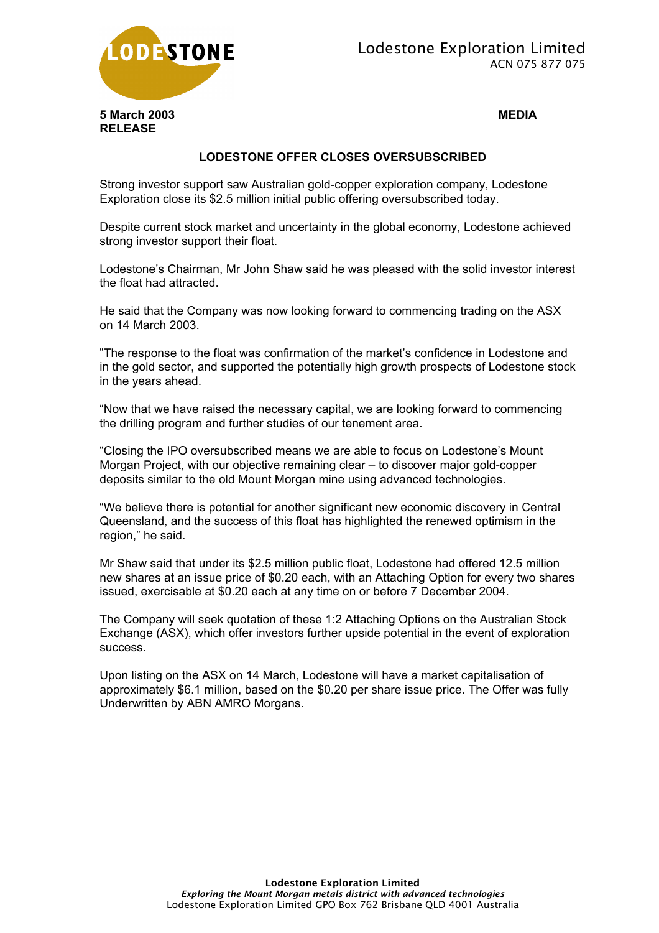



## **LODESTONE OFFER CLOSES OVERSUBSCRIBED**

Strong investor support saw Australian gold-copper exploration company, Lodestone Exploration close its \$2.5 million initial public offering oversubscribed today.

Despite current stock market and uncertainty in the global economy, Lodestone achieved strong investor support their float.

Lodestone's Chairman, Mr John Shaw said he was pleased with the solid investor interest the float had attracted.

He said that the Company was now looking forward to commencing trading on the ASX on 14 March 2003.

"The response to the float was confirmation of the market's confidence in Lodestone and in the gold sector, and supported the potentially high growth prospects of Lodestone stock in the years ahead.

"Now that we have raised the necessary capital, we are looking forward to commencing the drilling program and further studies of our tenement area.

"Closing the IPO oversubscribed means we are able to focus on Lodestone's Mount Morgan Project, with our objective remaining clear – to discover major gold-copper deposits similar to the old Mount Morgan mine using advanced technologies.

"We believe there is potential for another significant new economic discovery in Central Queensland, and the success of this float has highlighted the renewed optimism in the region," he said.

Mr Shaw said that under its \$2.5 million public float, Lodestone had offered 12.5 million new shares at an issue price of \$0.20 each, with an Attaching Option for every two shares issued, exercisable at \$0.20 each at any time on or before 7 December 2004.

The Company will seek quotation of these 1:2 Attaching Options on the Australian Stock Exchange (ASX), which offer investors further upside potential in the event of exploration success.

Upon listing on the ASX on 14 March, Lodestone will have a market capitalisation of approximately \$6.1 million, based on the \$0.20 per share issue price. The Offer was fully Underwritten by ABN AMRO Morgans.